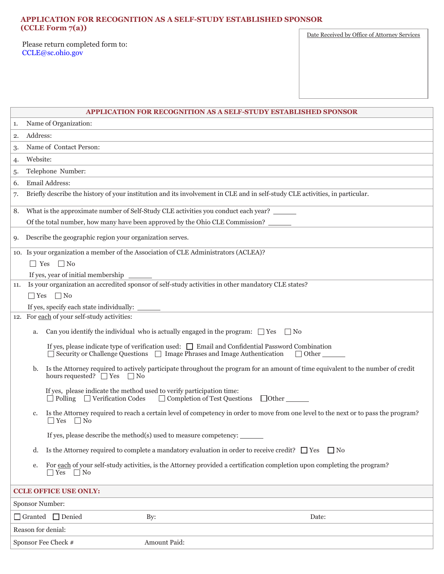## **APPLICATION FOR RECOGNITION AS A SELF-STUDY ESTABLISHED SPONSOR (CCLE Form 7(a))**

Please return completed form to: [CCLE@sc.ohio.gov](mailto:CCLE@sc.ohio.gov)

Date Received by Office of Attorney Services

|                                     | APPLICATION FOR RECOGNITION AS A SELF-STUDY ESTABLISHED SPONSOR                                                                                                                                                      |
|-------------------------------------|----------------------------------------------------------------------------------------------------------------------------------------------------------------------------------------------------------------------|
| 1.                                  | Name of Organization:                                                                                                                                                                                                |
| 2.                                  | Address:                                                                                                                                                                                                             |
| 3.                                  | Name of Contact Person:                                                                                                                                                                                              |
| 4.                                  | Website:                                                                                                                                                                                                             |
| 5.                                  | Telephone Number:                                                                                                                                                                                                    |
| 6.                                  | Email Address:                                                                                                                                                                                                       |
| 7.                                  | Briefly describe the history of your institution and its involvement in CLE and in self-study CLE activities, in particular.                                                                                         |
| 8.                                  | What is the approximate number of Self-Study CLE activities you conduct each year?                                                                                                                                   |
|                                     | Of the total number, how many have been approved by the Ohio CLE Commission?                                                                                                                                         |
| 9.                                  | Describe the geographic region your organization serves.                                                                                                                                                             |
|                                     | 10. Is your organization a member of the Association of CLE Administrators (ACLEA)?                                                                                                                                  |
|                                     | $\Box$ Yes $\Box$ No                                                                                                                                                                                                 |
|                                     | If yes, year of initial membership                                                                                                                                                                                   |
| 11.                                 | Is your organization an accredited sponsor of self-study activities in other mandatory CLE states?                                                                                                                   |
|                                     | $\Box$ Yes $\Box$ No                                                                                                                                                                                                 |
|                                     | 12. For each of your self-study activities:                                                                                                                                                                          |
|                                     |                                                                                                                                                                                                                      |
|                                     | Can you identify the individual who is actually engaged in the program: $\Box$ Yes<br>$\Box$ No<br>a.                                                                                                                |
|                                     | If yes, please indicate type of verification used: $\Box$ Email and Confidential Password Combination<br>$\Box$ Security or Challenge Questions $\Box$ Image Phrases and Image Authentication<br>$\Box$ Other $\_\_$ |
|                                     | Is the Attorney required to actively participate throughout the program for an amount of time equivalent to the number of credit<br>b.<br>hours requested? $\Box$ Yes $\Box$ No                                      |
|                                     | If yes, please indicate the method used to verify participation time:<br>$\Box$ Completion of Test Questions $\Box$ Other<br>$\Box$ Polling $\Box$ Verification Codes                                                |
|                                     | Is the Attorney required to reach a certain level of competency in order to move from one level to the next or to pass the program?<br>c.<br>$\Box$ Yes<br>$\Box$ No                                                 |
|                                     | If yes, please describe the method(s) used to measure competency: $\frac{ }{ }$                                                                                                                                      |
|                                     | Is the Attorney required to complete a mandatory evaluation in order to receive credit? $\Box$ Yes<br>$\Box$ No<br>d.                                                                                                |
|                                     | For each of your self-study activities, is the Attorney provided a certification completion upon completing the program?<br>e.<br>$\Box$ Yes<br>$\Box$ No                                                            |
| <b>CCLE OFFICE USE ONLY:</b>        |                                                                                                                                                                                                                      |
| <b>Sponsor Number:</b>              |                                                                                                                                                                                                                      |
|                                     | Granted Denied<br>By:<br>Date:                                                                                                                                                                                       |
| Reason for denial:                  |                                                                                                                                                                                                                      |
| Amount Paid:<br>Sponsor Fee Check # |                                                                                                                                                                                                                      |
|                                     |                                                                                                                                                                                                                      |